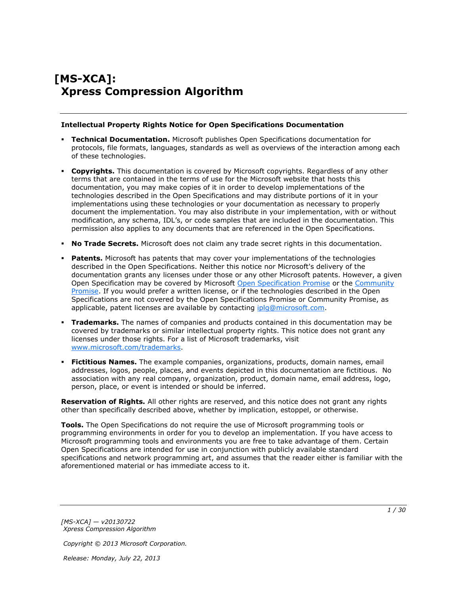# **[MS-XCA]: Xpress Compression Algorithm**

#### **Intellectual Property Rights Notice for Open Specifications Documentation**

- **Technical Documentation.** Microsoft publishes Open Specifications documentation for protocols, file formats, languages, standards as well as overviews of the interaction among each of these technologies.
- **Copyrights.** This documentation is covered by Microsoft copyrights. Regardless of any other terms that are contained in the terms of use for the Microsoft website that hosts this documentation, you may make copies of it in order to develop implementations of the technologies described in the Open Specifications and may distribute portions of it in your implementations using these technologies or your documentation as necessary to properly document the implementation. You may also distribute in your implementation, with or without modification, any schema, IDL's, or code samples that are included in the documentation. This permission also applies to any documents that are referenced in the Open Specifications.
- **No Trade Secrets.** Microsoft does not claim any trade secret rights in this documentation.
- **Patents.** Microsoft has patents that may cover your implementations of the technologies described in the Open Specifications. Neither this notice nor Microsoft's delivery of the documentation grants any licenses under those or any other Microsoft patents. However, a given Open Specification may be covered by Microsoft [Open Specification Promise](http://go.microsoft.com/fwlink/?LinkId=214445) or the [Community](http://go.microsoft.com/fwlink/?LinkId=214448)  [Promise.](http://go.microsoft.com/fwlink/?LinkId=214448) If you would prefer a written license, or if the technologies described in the Open Specifications are not covered by the Open Specifications Promise or Community Promise, as applicable, patent licenses are available by contacting ipla@microsoft.com.
- **Trademarks.** The names of companies and products contained in this documentation may be covered by trademarks or similar intellectual property rights. This notice does not grant any licenses under those rights. For a list of Microsoft trademarks, visit [www.microsoft.com/trademarks.](http://www.microsoft.com/trademarks)
- **Fictitious Names.** The example companies, organizations, products, domain names, email addresses, logos, people, places, and events depicted in this documentation are fictitious. No association with any real company, organization, product, domain name, email address, logo, person, place, or event is intended or should be inferred.

**Reservation of Rights.** All other rights are reserved, and this notice does not grant any rights other than specifically described above, whether by implication, estoppel, or otherwise.

**Tools.** The Open Specifications do not require the use of Microsoft programming tools or programming environments in order for you to develop an implementation. If you have access to Microsoft programming tools and environments you are free to take advantage of them. Certain Open Specifications are intended for use in conjunction with publicly available standard specifications and network programming art, and assumes that the reader either is familiar with the aforementioned material or has immediate access to it.

*[MS-XCA] — v20130722 Xpress Compression Algorithm* 

*Copyright © 2013 Microsoft Corporation.*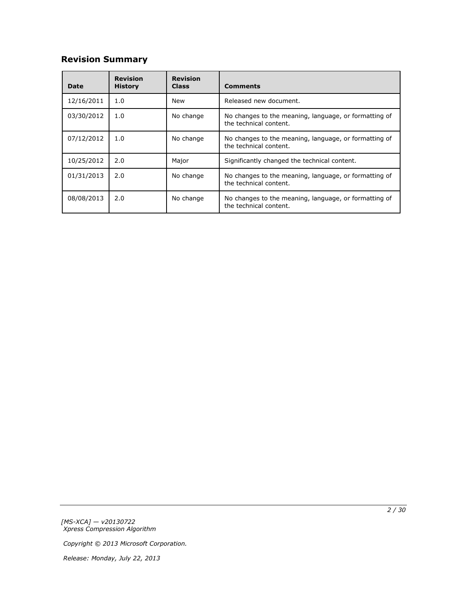# **Revision Summary**

| Date       | <b>Revision</b><br><b>History</b> | <b>Revision</b><br><b>Class</b>                                                              | <b>Comments</b>                                                                 |  |
|------------|-----------------------------------|----------------------------------------------------------------------------------------------|---------------------------------------------------------------------------------|--|
| 12/16/2011 | 1.0                               | New                                                                                          | Released new document.                                                          |  |
| 03/30/2012 | 1.0                               | No change                                                                                    | No changes to the meaning, language, or formatting of<br>the technical content. |  |
| 07/12/2012 | 1.0                               | No change<br>No changes to the meaning, language, or formatting of<br>the technical content. |                                                                                 |  |
| 10/25/2012 | 2.0                               | Major                                                                                        | Significantly changed the technical content.                                    |  |
| 01/31/2013 | 2.0                               | No change                                                                                    | No changes to the meaning, language, or formatting of<br>the technical content. |  |
| 08/08/2013 | 2.0                               | No change                                                                                    | No changes to the meaning, language, or formatting of<br>the technical content. |  |

*[MS-XCA] — v20130722 Xpress Compression Algorithm* 

*Copyright © 2013 Microsoft Corporation.*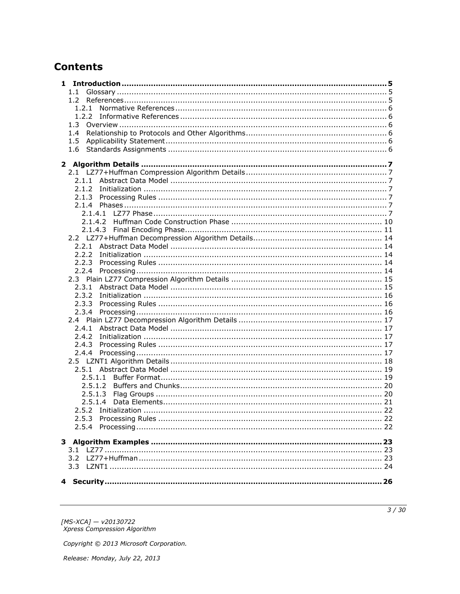# **Contents**

| $1.1 -$ |  |
|---------|--|
|         |  |
|         |  |
|         |  |
|         |  |
| 1.4     |  |
| 1.5     |  |
| 1.6     |  |
|         |  |
|         |  |
|         |  |
|         |  |
|         |  |
|         |  |
|         |  |
|         |  |
|         |  |
|         |  |
|         |  |
|         |  |
|         |  |
|         |  |
|         |  |
|         |  |
|         |  |
| 2.3.2   |  |
|         |  |
|         |  |
|         |  |
|         |  |
| 2.4.2   |  |
|         |  |
|         |  |
|         |  |
|         |  |
| 2.5.1.2 |  |
| 2.5.1.3 |  |
| 2.5.1.4 |  |
|         |  |
|         |  |
|         |  |
|         |  |
|         |  |
|         |  |
| 3.2     |  |
|         |  |
|         |  |
|         |  |

[MS-XCA] — v20130722<br>Xpress Compression Algorithm

Copyright © 2013 Microsoft Corporation.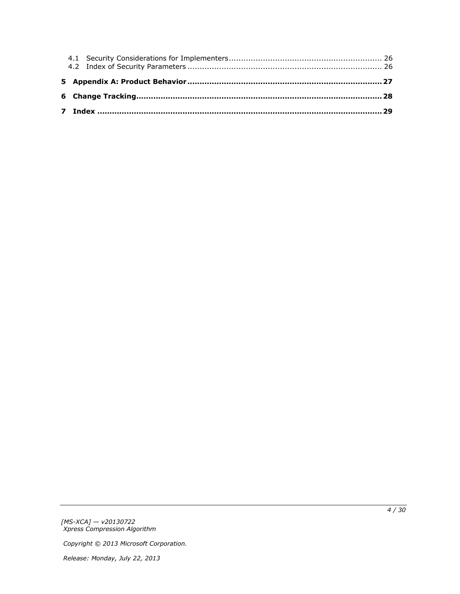*[MS-XCA] — v20130722 Xpress Compression Algorithm* 

*Copyright © 2013 Microsoft Corporation.*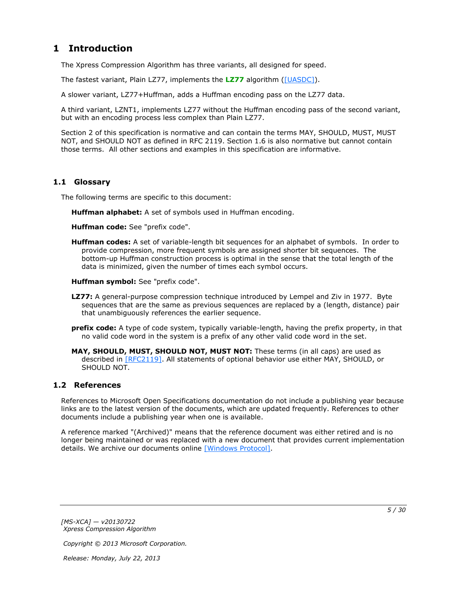# <span id="page-4-0"></span>**1 Introduction**

<span id="page-4-10"></span>The Xpress Compression Algorithm has three variants, all designed for speed.

The fastest variant, Plain LZ77, implements the **[LZ77](#page-4-3)** algorithm [\(\[UASDC\]\)](http://go.microsoft.com/fwlink/?LinkId=90549).

A slower variant, LZ77+Huffman, adds a Huffman encoding pass on the LZ77 data.

A third variant, LZNT1, implements LZ77 without the Huffman encoding pass of the second variant, but with an encoding process less complex than Plain LZ77.

Section 2 of this specification is normative and can contain the terms MAY, SHOULD, MUST, MUST NOT, and SHOULD NOT as defined in RFC 2119. Section 1.6 is also normative but cannot contain those terms. All other sections and examples in this specification are informative.

## <span id="page-4-1"></span>**1.1 Glossary**

The following terms are specific to this document:

<span id="page-4-9"></span><span id="page-4-6"></span>**Huffman alphabet:** A set of symbols used in Huffman encoding.

<span id="page-4-7"></span>**Huffman code:** See "prefix code".

<span id="page-4-5"></span>**Huffman codes:** A set of variable-length bit sequences for an alphabet of symbols. In order to provide compression, more frequent symbols are assigned shorter bit sequences. The bottom-up Huffman construction process is optimal in the sense that the total length of the data is minimized, given the number of times each symbol occurs.

<span id="page-4-8"></span>**Huffman symbol:** See "prefix code".

- <span id="page-4-3"></span>**LZ77:** A general-purpose compression technique introduced by Lempel and Ziv in 1977. Byte sequences that are the same as previous sequences are replaced by a (length, distance) pair that unambiguously references the earlier sequence.
- <span id="page-4-4"></span>**prefix code:** A type of code system, typically variable-length, having the prefix property, in that no valid code word in the system is a prefix of any other valid code word in the set.

**MAY, SHOULD, MUST, SHOULD NOT, MUST NOT:** These terms (in all caps) are used as described in [\[RFC2119\].](http://go.microsoft.com/fwlink/?LinkId=90317) All statements of optional behavior use either MAY, SHOULD, or SHOULD NOT.

### <span id="page-4-2"></span>**1.2 References**

References to Microsoft Open Specifications documentation do not include a publishing year because links are to the latest version of the documents, which are updated frequently. References to other documents include a publishing year when one is available.

A reference marked "(Archived)" means that the reference document was either retired and is no longer being maintained or was replaced with a new document that provides current implementation details. We archive our documents online [\[Windows Protocol\].](http://msdn.microsoft.com/en-us/library/jj633107.aspx)

*[MS-XCA] — v20130722 Xpress Compression Algorithm* 

*Copyright © 2013 Microsoft Corporation.*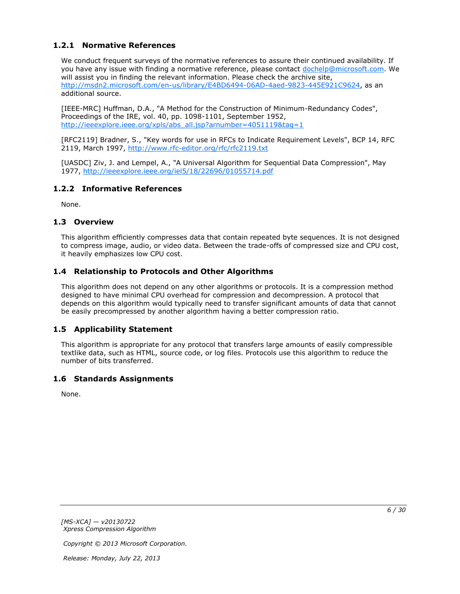# <span id="page-5-0"></span>**1.2.1 Normative References**

<span id="page-5-8"></span>We conduct frequent surveys of the normative references to assure their continued availability. If you have any issue with finding a normative reference, please contact [dochelp@microsoft.com.](mailto:dochelp@microsoft.com) We will assist you in finding the relevant information. Please check the archive site, [http://msdn2.microsoft.com/en-us/library/E4BD6494-06AD-4aed-9823-445E921C9624,](http://msdn2.microsoft.com/en-us/library/E4BD6494-06AD-4aed-9823-445E921C9624) as an additional source.

[IEEE-MRC] Huffman, D.A., "A Method for the Construction of Minimum-Redundancy Codes", Proceedings of the IRE, vol. 40, pp. 1098-1101, September 1952, [http://ieeexplore.ieee.org/xpls/abs\\_all.jsp?arnumber=4051119&tag=1](http://go.microsoft.com/fwlink/?LinkId=227659)

[RFC2119] Bradner, S., "Key words for use in RFCs to Indicate Requirement Levels", BCP 14, RFC 2119, March 1997, [http://www.rfc-editor.org/rfc/rfc2119.txt](http://go.microsoft.com/fwlink/?LinkId=90317)

[UASDC] Ziv, J. and Lempel, A., "A Universal Algorithm for Sequential Data Compression", May 1977, [http://ieeexplore.ieee.org/iel5/18/22696/01055714.pdf](http://go.microsoft.com/fwlink/?LinkId=90549)

### <span id="page-5-1"></span>**1.2.2 Informative References**

<span id="page-5-9"></span><span id="page-5-7"></span>None.

### <span id="page-5-2"></span>**1.3 Overview**

This algorithm efficiently compresses data that contain repeated byte sequences. It is not designed to compress image, audio, or video data. Between the trade-offs of compressed size and CPU cost, it heavily emphasizes low CPU cost.

### <span id="page-5-3"></span>**1.4 Relationship to Protocols and Other Algorithms**

<span id="page-5-10"></span>This algorithm does not depend on any other algorithms or protocols. It is a compression method designed to have minimal CPU overhead for compression and decompression. A protocol that depends on this algorithm would typically need to transfer significant amounts of data that cannot be easily precompressed by another algorithm having a better compression ratio.

### <span id="page-5-4"></span>**1.5 Applicability Statement**

<span id="page-5-6"></span>This algorithm is appropriate for any protocol that transfers large amounts of easily compressible textlike data, such as HTML, source code, or log files. Protocols use this algorithm to reduce the number of bits transferred.

### <span id="page-5-5"></span>**1.6 Standards Assignments**

<span id="page-5-11"></span>None.

*[MS-XCA] — v20130722 Xpress Compression Algorithm* 

*Copyright © 2013 Microsoft Corporation.*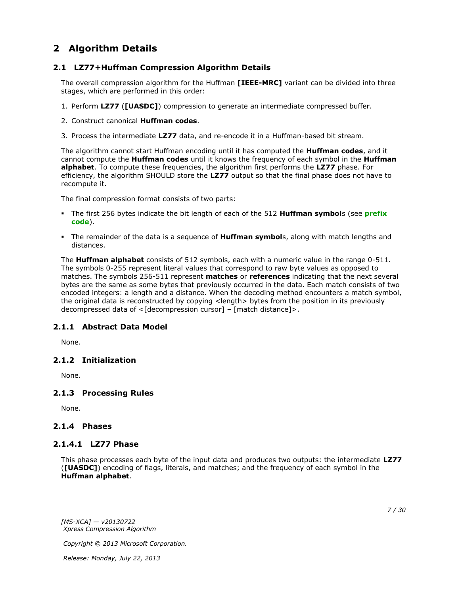# <span id="page-6-0"></span>**2 Algorithm Details**

## <span id="page-6-1"></span>**2.1 LZ77+Huffman Compression Algorithm Details**

<span id="page-6-10"></span>The overall compression algorithm for the Huffman **[IEEE-MRC]** variant can be divided into three stages, which are performed in this order:

- 1. Perform **LZ77** (**[UASDC]**) compression to generate an intermediate compressed buffer.
- 2. Construct canonical **Huffman codes**.
- 3. Process the intermediate **LZ77** data, and re-encode it in a Huffman-based bit stream.

The algorithm cannot start Huffman encoding until it has computed the **Huffman codes**, and it cannot compute the **Huffman codes** until it knows the frequency of each symbol in the **Huffman alphabet**. To compute these frequencies, the algorithm first performs the **LZ77** phase. For efficiency, the algorithm SHOULD store the **LZ77** output so that the final phase does not have to recompute it.

The final compression format consists of two parts:

- The first 256 bytes indicate the bit length of each of the 512 **Huffman symbol**s (see **[prefix](#page-4-4)  [code](#page-4-4)**).
- The remainder of the data is a sequence of **Huffman symbol**s, along with match lengths and distances.

The **Huffman alphabet** consists of 512 symbols, each with a numeric value in the range 0-511. The symbols 0-255 represent literal values that correspond to raw byte values as opposed to matches. The symbols 256-511 represent **matches** or **references** indicating that the next several bytes are the same as some bytes that previously occurred in the data. Each match consists of two encoded integers: a length and a distance. When the decoding method encounters a match symbol, the original data is reconstructed by copying <length> bytes from the position in its previously decompressed data of <[decompression cursor] – [match distance]>.

## <span id="page-6-2"></span>**2.1.1 Abstract Data Model**

<span id="page-6-9"></span><span id="page-6-8"></span>None.

## <span id="page-6-3"></span>**2.1.2 Initialization**

<span id="page-6-11"></span>None.

## <span id="page-6-4"></span>**2.1.3 Processing Rules**

None.

## <span id="page-6-5"></span>**2.1.4 Phases**

### <span id="page-6-6"></span>**2.1.4.1 LZ77 Phase**

<span id="page-6-7"></span>This phase processes each byte of the input data and produces two outputs: the intermediate **LZ77** (**[UASDC]**) encoding of flags, literals, and matches; and the frequency of each symbol in the **Huffman alphabet**.

*[MS-XCA] — v20130722 Xpress Compression Algorithm* 

*Copyright © 2013 Microsoft Corporation.*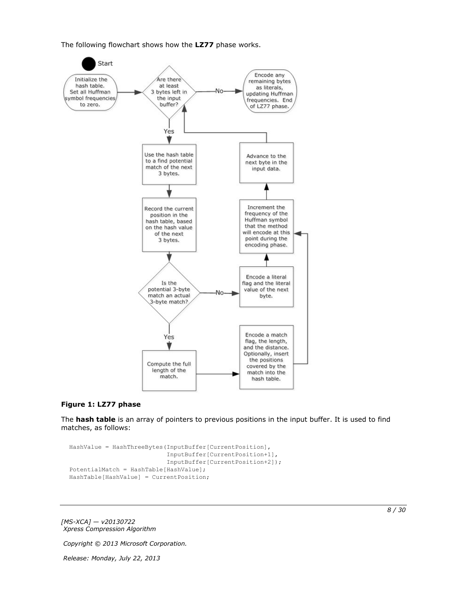The following flowchart shows how the **LZ77** phase works.



#### **Figure 1: LZ77 phase**

The **hash table** is an array of pointers to previous positions in the input buffer. It is used to find matches, as follows:

```
HashValue = HashThreeBytes(InputBuffer[CurrentPosition],
                            InputBuffer[CurrentPosition+1],
                           InputBuffer[CurrentPosition+2]);
PotentialMatch = HashTable[HashValue];
HashTable[HashValue] = CurrentPosition;
```
*[MS-XCA] — v20130722 Xpress Compression Algorithm* 

*Copyright © 2013 Microsoft Corporation.*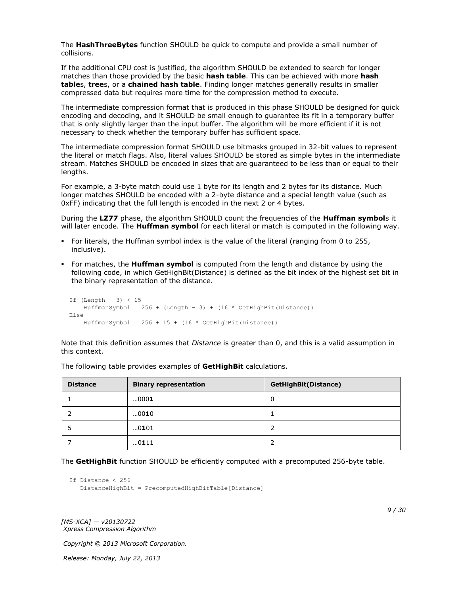The **HashThreeBytes** function SHOULD be quick to compute and provide a small number of collisions.

If the additional CPU cost is justified, the algorithm SHOULD be extended to search for longer matches than those provided by the basic **hash table**. This can be achieved with more **hash table**s, **tree**s, or a **chained hash table**. Finding longer matches generally results in smaller compressed data but requires more time for the compression method to execute.

The intermediate compression format that is produced in this phase SHOULD be designed for quick encoding and decoding, and it SHOULD be small enough to guarantee its fit in a temporary buffer that is only slightly larger than the input buffer. The algorithm will be more efficient if it is not necessary to check whether the temporary buffer has sufficient space.

The intermediate compression format SHOULD use bitmasks grouped in 32-bit values to represent the literal or match flags. Also, literal values SHOULD be stored as simple bytes in the intermediate stream. Matches SHOULD be encoded in sizes that are guaranteed to be less than or equal to their lengths.

For example, a 3-byte match could use 1 byte for its length and 2 bytes for its distance. Much longer matches SHOULD be encoded with a 2-byte distance and a special length value (such as 0xFF) indicating that the full length is encoded in the next 2 or 4 bytes.

During the **LZ77** phase, the algorithm SHOULD count the frequencies of the **Huffman symbol**s it will later encode. The **Huffman symbol** for each literal or match is computed in the following way.

- For literals, the Huffman symbol index is the value of the literal (ranging from 0 to 255, inclusive).
- For matches, the **Huffman symbol** is computed from the length and distance by using the following code, in which GetHighBit(Distance) is defined as the bit index of the highest set bit in the binary representation of the distance.

```
If (Length – 3) < 15
   HuffmanSymbol = 256 + (Length - 3) + (16 * GetHighBit(Distance))Else
    HuffmanSymbol = 256 + 15 + (16 * \text{ GetHighBit (Distance)})
```
Note that this definition assumes that *Distance* is greater than 0, and this is a valid assumption in this context.

| <b>Distance</b> | <b>Binary representation</b> | <b>GetHighBit(Distance)</b> |
|-----------------|------------------------------|-----------------------------|
|                 | 0001                         | 0                           |
|                 | 0010                         |                             |
|                 | 0101                         | 2                           |
|                 | 0111                         | 2                           |

The following table provides examples of **GetHighBit** calculations.

The **GetHighBit** function SHOULD be efficiently computed with a precomputed 256-byte table.

```
If Distance < 256
    DistanceHighBit = PrecomputedHighBitTable[Distance]
```
*[MS-XCA] — v20130722 Xpress Compression Algorithm* 

*Copyright © 2013 Microsoft Corporation.*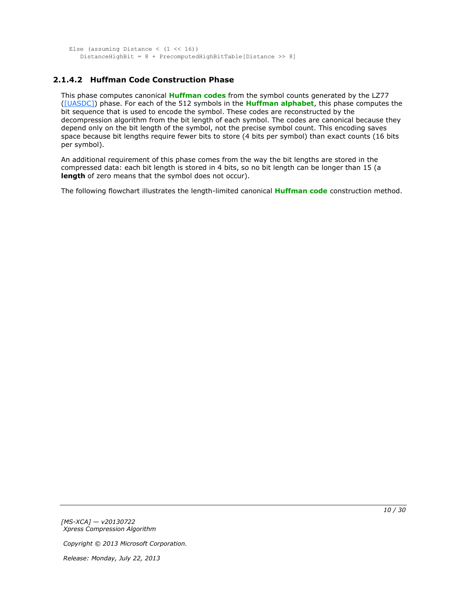```
Else (assuming Distance (1 \le 16))
    DistanceHighBit = 8 + PrecomputedHighBitTable[Distance >> 8]
```
# <span id="page-9-0"></span>**2.1.4.2 Huffman Code Construction Phase**

This phase computes canonical **[Huffman codes](#page-4-5)** from the symbol counts generated by the LZ77 [\(\[UASDC\]\)](http://go.microsoft.com/fwlink/?LinkId=90549) phase. For each of the 512 symbols in the **[Huffman alphabet](#page-4-6)**, this phase computes the bit sequence that is used to encode the symbol. These codes are reconstructed by the decompression algorithm from the bit length of each symbol. The codes are canonical because they depend only on the bit length of the symbol, not the precise symbol count. This encoding saves space because bit lengths require fewer bits to store (4 bits per symbol) than exact counts (16 bits per symbol).

An additional requirement of this phase comes from the way the bit lengths are stored in the compressed data: each bit length is stored in 4 bits, so no bit length can be longer than 15 (a **length** of zero means that the symbol does not occur).

The following flowchart illustrates the length-limited canonical **[Huffman code](#page-4-7)** construction method.

*[MS-XCA] — v20130722 Xpress Compression Algorithm* 

*Copyright © 2013 Microsoft Corporation.*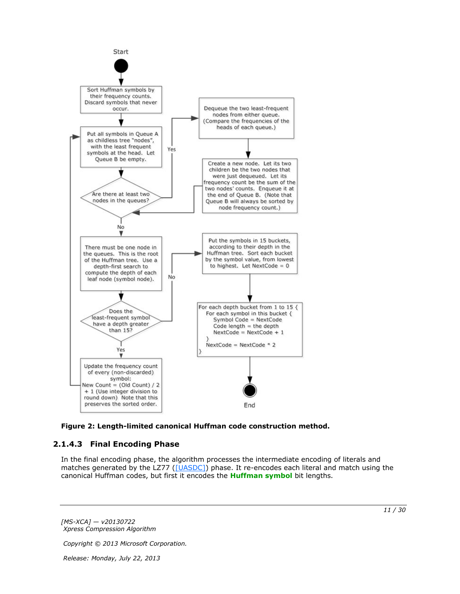

<span id="page-10-1"></span>

# <span id="page-10-0"></span>**2.1.4.3 Final Encoding Phase**

In the final encoding phase, the algorithm processes the intermediate encoding of literals and matches generated by the LZ77 [\(\[UASDC\]\)](http://go.microsoft.com/fwlink/?LinkId=90549) phase. It re-encodes each literal and match using the canonical Huffman codes, but first it encodes the **[Huffman symbol](#page-4-8)** bit lengths.

*[MS-XCA] — v20130722 Xpress Compression Algorithm* 

*Copyright © 2013 Microsoft Corporation.*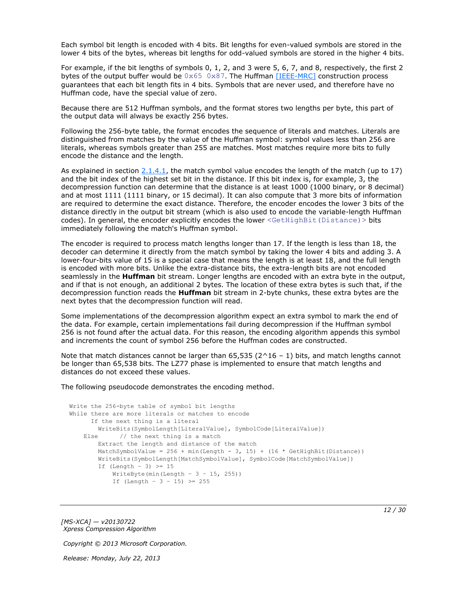Each symbol bit length is encoded with 4 bits. Bit lengths for even-valued symbols are stored in the lower 4 bits of the bytes, whereas bit lengths for odd-valued symbols are stored in the higher 4 bits.

For example, if the bit lengths of symbols 0, 1, 2, and 3 were 5, 6, 7, and 8, respectively, the first 2 bytes of the output buffer would be  $0 \times 65$   $0 \times 87$ . The Huffman [\[IEEE-MRC\]](http://go.microsoft.com/fwlink/?LinkId=227659) construction process guarantees that each bit length fits in 4 bits. Symbols that are never used, and therefore have no Huffman code, have the special value of zero.

Because there are 512 Huffman symbols, and the format stores two lengths per byte, this part of the output data will always be exactly 256 bytes.

Following the 256-byte table, the format encodes the sequence of literals and matches. Literals are distinguished from matches by the value of the Huffman symbol: symbol values less than 256 are literals, whereas symbols greater than 255 are matches. Most matches require more bits to fully encode the distance and the length.

As explained in section  $2.1.4.1$ , the match symbol value encodes the length of the match (up to 17) and the bit index of the highest set bit in the distance. If this bit index is, for example, 3, the decompression function can determine that the distance is at least 1000 (1000 binary, or 8 decimal) and at most 1111 (1111 binary, or 15 decimal). It can also compute that 3 more bits of information are required to determine the exact distance. Therefore, the encoder encodes the lower 3 bits of the distance directly in the output bit stream (which is also used to encode the variable-length Huffman codes). In general, the encoder explicitly encodes the lower <GetHighBit(Distance)> bits immediately following the match's Huffman symbol.

The encoder is required to process match lengths longer than 17. If the length is less than 18, the decoder can determine it directly from the match symbol by taking the lower 4 bits and adding 3. A lower-four-bits value of 15 is a special case that means the length is at least 18, and the full length is encoded with more bits. Unlike the extra-distance bits, the extra-length bits are not encoded seamlessly in the **Huffman** bit stream. Longer lengths are encoded with an extra byte in the output, and if that is not enough, an additional 2 bytes. The location of these extra bytes is such that, if the decompression function reads the **Huffman** bit stream in 2-byte chunks, these extra bytes are the next bytes that the decompression function will read.

Some implementations of the decompression algorithm expect an extra symbol to mark the end of the data. For example, certain implementations fail during decompression if the Huffman symbol 256 is not found after the actual data. For this reason, the encoding algorithm appends this symbol and increments the count of symbol 256 before the Huffman codes are constructed.

Note that match distances cannot be larger than  $65,535$  ( $2^{\wedge}16 - 1$ ) bits, and match lengths cannot be longer than 65,538 bits. The LZ77 phase is implemented to ensure that match lengths and distances do not exceed these values.

The following pseudocode demonstrates the encoding method.

```
Write the 256-byte table of symbol bit lengths
While there are more literals or matches to encode
      If the next thing is a literal
        WriteBits(SymbolLength[LiteralValue], SymbolCode[LiteralValue])
   Else // the next thing is a match
        Extract the length and distance of the match
       MatchSymbolValue = 256 + min(Length - 3, 15) + (16 * GetHighBit(Distance)) WriteBits(SymbolLength[MatchSymbolValue], SymbolCode[MatchSymbolValue])
        If (Length - 3) \geq 15
           WriteByte(min(Length - 3 - 15, 255))
           If (Length - 3 - 15) >= 255
```
*[MS-XCA] — v20130722 Xpress Compression Algorithm* 

*Copyright © 2013 Microsoft Corporation.*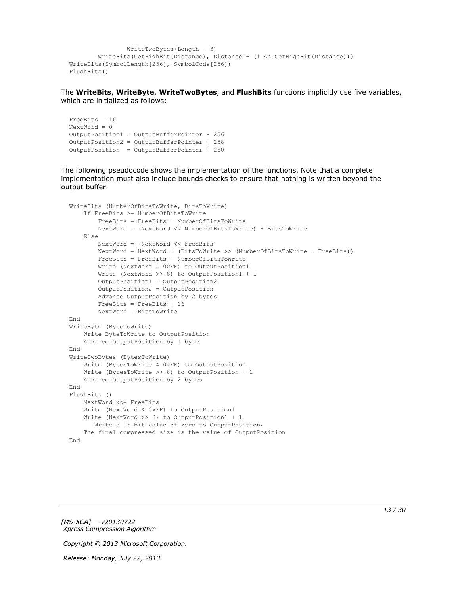```
 WriteTwoBytes(Length – 3)
         WriteBits(GetHighBit(Distance), Distance – (1 << GetHighBit(Distance)))
WriteBits(SymbolLength[256], SymbolCode[256])
FlushBits()
```
The **WriteBits**, **WriteByte**, **WriteTwoBytes**, and **FlushBits** functions implicitly use five variables, which are initialized as follows:

```
FreeBits = 16
NextWord = 0OutputPosition1 = OutputBufferPointer + 256
OutputPosition2 = OutputBufferPointer + 258 
OutputPosition = OutputBufferPointer + 260
```
The following pseudocode shows the implementation of the functions. Note that a complete implementation must also include bounds checks to ensure that nothing is written beyond the output buffer.

```
WriteBits (NumberOfBitsToWrite, BitsToWrite)
     If FreeBits >= NumberOfBitsToWrite
         FreeBits = FreeBits – NumberOfBitsToWrite
         NextWord = (NextWord << NumberOfBitsToWrite) + BitsToWrite
     Else
         NextWord = (NextWord << FreeBits)
         NextWord = NextWord + (BitsToWrite >> (NumberOfBitsToWrite – FreeBits))
         FreeBits = FreeBits – NumberOfBitsToWrite
         Write (NextWord & 0xFF) to OutputPosition1
         Write (NextWord >> 8) to OutputPosition1 + 1
         OutputPosition1 = OutputPosition2
         OutputPosition2 = OutputPosition
         Advance OutputPosition by 2 bytes
         FreeBits = FreeBits + 16
         NextWord = BitsToWrite
End
WriteByte (ByteToWrite)
     Write ByteToWrite to OutputPosition
     Advance OutputPosition by 1 byte
End
WriteTwoBytes (BytesToWrite)
     Write (BytesToWrite & 0xFF) to OutputPosition
     Write (BytesToWrite >> 8) to OutputPosition + 1
     Advance OutputPosition by 2 bytes
End
FlushBits ()
    NextWord <<= FreeBits
     Write (NextWord & 0xFF) to OutputPosition1
     Write (NextWord >> 8) to OutputPosition1 + 1
        Write a 16-bit value of zero to OutputPosition2
     The final compressed size is the value of OutputPosition
End
```
*[MS-XCA] — v20130722 Xpress Compression Algorithm* 

*Copyright © 2013 Microsoft Corporation.*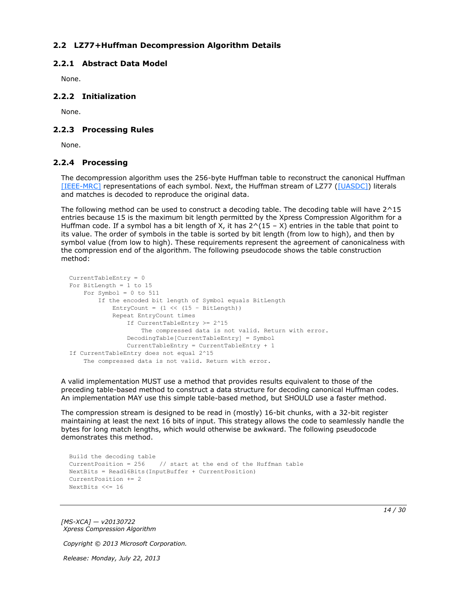# <span id="page-13-0"></span>**2.2 LZ77+Huffman Decompression Algorithm Details**

## <span id="page-13-1"></span>**2.2.1 Abstract Data Model**

<span id="page-13-6"></span><span id="page-13-5"></span>None.

### <span id="page-13-2"></span>**2.2.2 Initialization**

<span id="page-13-8"></span>None.

### <span id="page-13-3"></span>**2.2.3 Processing Rules**

<span id="page-13-7"></span>None.

### <span id="page-13-4"></span>**2.2.4 Processing**

The decompression algorithm uses the 256-byte Huffman table to reconstruct the canonical Huffman [\[IEEE-MRC\]](http://go.microsoft.com/fwlink/?LinkId=227659) representations of each symbol. Next, the Huffman stream of LZ77 [\(\[UASDC\]\)](http://go.microsoft.com/fwlink/?LinkId=90549) literals and matches is decoded to reproduce the original data.

The following method can be used to construct a decoding table. The decoding table will have  $2^{\wedge}15$ entries because 15 is the maximum bit length permitted by the Xpress Compression Algorithm for a Huffman code. If a symbol has a bit length of X, it has  $2^{\wedge}(15 - X)$  entries in the table that point to its value. The order of symbols in the table is sorted by bit length (from low to high), and then by symbol value (from low to high). These requirements represent the agreement of canonicalness with the compression end of the algorithm. The following pseudocode shows the table construction method:

```
CurrentTableEntry = 0
For BitLength = 1 to 15
   For Symbol = 0 to 511
         If the encoded bit length of Symbol equals BitLength
            EntryCount = (1 \le (15 - \text{BitLength})) Repeat EntryCount times
                 If CurrentTableEntry >= 2^15
                     The compressed data is not valid. Return with error.
                 DecodingTable[CurrentTableEntry] = Symbol
                 CurrentTableEntry = CurrentTableEntry + 1
If CurrentTableEntry does not equal 2^15
     The compressed data is not valid. Return with error.
```
A valid implementation MUST use a method that provides results equivalent to those of the preceding table-based method to construct a data structure for decoding canonical Huffman codes. An implementation MAY use this simple table-based method, but SHOULD use a faster method.

The compression stream is designed to be read in (mostly) 16-bit chunks, with a 32-bit register maintaining at least the next 16 bits of input. This strategy allows the code to seamlessly handle the bytes for long match lengths, which would otherwise be awkward. The following pseudocode demonstrates this method.

```
Build the decoding table
CurrentPosition = 256 // start at the end of the Huffman table
NextBits = Read16Bits(InputBuffer + CurrentPosition)
CurrentPosition += 2
NextBits <<= 16
```
*[MS-XCA] — v20130722 Xpress Compression Algorithm* 

*Copyright © 2013 Microsoft Corporation.*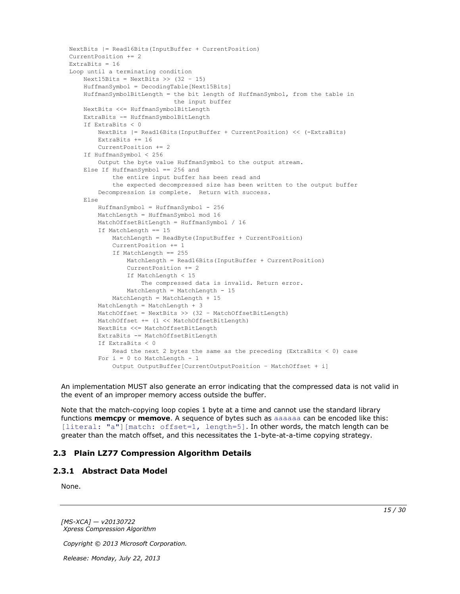```
NextBits |= Read16Bits(InputBuffer + CurrentPosition)
CurrentPosition += 2
ExtraBits = 16
Loop until a terminating condition
    Next15Bits = NextBits >> (32 - 15) HuffmanSymbol = DecodingTable[Next15Bits]
     HuffmanSymbolBitLength = the bit length of HuffmanSymbol, from the table in
                              the input buffer
     NextBits <<= HuffmanSymbolBitLength
     ExtraBits -= HuffmanSymbolBitLength
     If ExtraBits < 0
         NextBits |= Read16Bits(InputBuffer + CurrentPosition) << (-ExtraBits)
         ExtraBits += 16
         CurrentPosition += 2
     If HuffmanSymbol < 256
         Output the byte value HuffmanSymbol to the output stream.
     Else If HuffmanSymbol == 256 and
             the entire input buffer has been read and
             the expected decompressed size has been written to the output buffer
         Decompression is complete. Return with success.
     Else
         HuffmanSymbol = HuffmanSymbol - 256
         MatchLength = HuffmanSymbol mod 16
         MatchOffsetBitLength = HuffmanSymbol / 16
         If MatchLength == 15
             MatchLength = ReadByte(InputBuffer + CurrentPosition)
             CurrentPosition += 1
             If MatchLength == 255
                 MatchLength = Read16Bits(InputBuffer + CurrentPosition)
                 CurrentPosition += 2
                 If MatchLength < 15
                     The compressed data is invalid. Return error.
                 MatchLength = MatchLength - 15
             MatchLength = MatchLength + 15
         MatchLength = MatchLength + 3
         MatchOffset = NextBits >> (32 – MatchOffsetBitLength)
         MatchOffset += (1 << MatchOffsetBitLength)
         NextBits <<= MatchOffsetBitLength
         ExtraBits -= MatchOffsetBitLength
         If ExtraBits < 0
           Read the next 2 bytes the same as the preceding (ExtraBits < 0) case
        For i = 0 to MatchLength - 1
             Output OutputBuffer[CurrentOutputPosition – MatchOffset + i]
```
An implementation MUST also generate an error indicating that the compressed data is not valid in the event of an improper memory access outside the buffer.

Note that the match-copying loop copies 1 byte at a time and cannot use the standard library functions **memcpy** or **memove**. A sequence of bytes such as aaaaaa can be encoded like this: [literal: "a"] [match: offset=1, length=5]. In other words, the match length can be greater than the match offset, and this necessitates the 1-byte-at-a-time copying strategy.

### <span id="page-14-0"></span>**2.3 Plain LZ77 Compression Algorithm Details**

#### <span id="page-14-1"></span>**2.3.1 Abstract Data Model**

<span id="page-14-3"></span><span id="page-14-2"></span>None.

*[MS-XCA] — v20130722 Xpress Compression Algorithm* 

*Copyright © 2013 Microsoft Corporation.*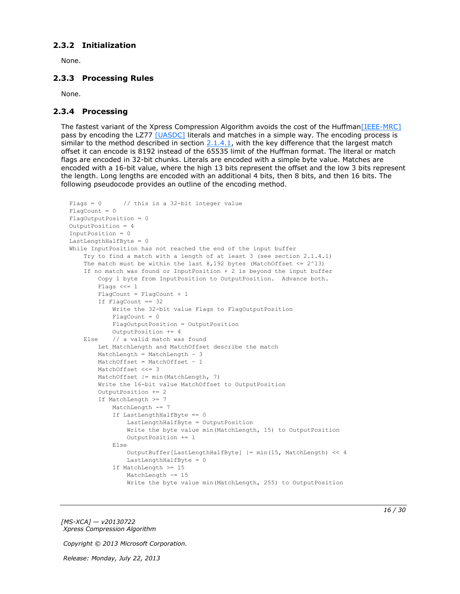### <span id="page-15-0"></span>**2.3.2 Initialization**

<span id="page-15-5"></span><span id="page-15-3"></span>None.

## <span id="page-15-1"></span>**2.3.3 Processing Rules**

<span id="page-15-4"></span>None.

### <span id="page-15-2"></span>**2.3.4 Processing**

The fastest variant of the Xpress Compression Algorithm avoids the cost of the Huffma[n\[IEEE-MRC\]](http://go.microsoft.com/fwlink/?LinkId=227659) pass by encoding the LZ77 [\[UASDC\]](http://go.microsoft.com/fwlink/?LinkId=90549) literals and matches in a simple way. The encoding process is similar to the method described in section  $2.1.4.1$ , with the key difference that the largest match offset it can encode is 8192 instead of the 65535 limit of the Huffman format. The literal or match flags are encoded in 32-bit chunks. Literals are encoded with a simple byte value. Matches are encoded with a 16-bit value, where the high 13 bits represent the offset and the low 3 bits represent the length. Long lengths are encoded with an additional 4 bits, then 8 bits, and then 16 bits. The following pseudocode provides an outline of the encoding method.

```
Flags = 0 // this is a 32-bit integer value
FlacCount = 0FlagOutputPosition = 0
OutputPosition = 4
InputPosition = 0
LastLengthHalfByte = 0
While InputPosition has not reached the end of the input buffer
     Try to find a match with a length of at least 3 (see section 2.1.4.1)
    The match must be within the last 8,192 bytes (MatchOffset \leq 2^13)
     If no match was found or InputPosition + 2 is beyond the input buffer
         Copy 1 byte from InputPosition to OutputPosition. Advance both.
         Flags <<= 1
         FlagCount = FlagCount + 1
         If FlagCount == 32
             Write the 32-bit value Flags to FlagOutputPosition
            FlagCount = 0 FlagOutputPosition = OutputPosition
             OutputPosition += 4
     Else // a valid match was found
         Let MatchLength and MatchOffset describe the match
         MatchLength = MatchLength – 3
         MatchOffset = MatchOffset – 1
        MatchOffset <<= 3
         MatchOffset |= min(MatchLength, 7)
         Write the 16-bit value MatchOffset to OutputPosition
         OutputPosition += 2
         If MatchLength >= 7
            MatchLength -= 7
             If LastLengthHalfByte == 0
                 LastLengthHalfByte = OutputPosition
                 Write the byte value min(MatchLength, 15) to OutputPosition
                 OutputPosition += 1
             Else
                OutputBuffer[LastLengthHalfByte] |= min(15, MatchLength) << 4
                 LastLengthHalfByte = 0
             If MatchLength >= 15
                MatchLength -= 15
                 Write the byte value min(MatchLength, 255) to OutputPosition
```
*[MS-XCA] — v20130722 Xpress Compression Algorithm* 

*Copyright © 2013 Microsoft Corporation.*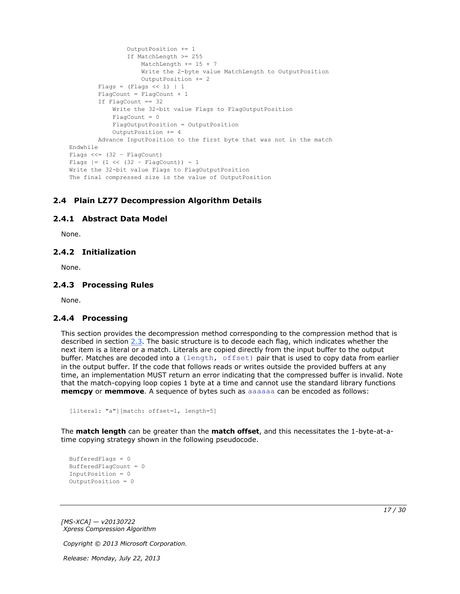```
 OutputPosition += 1
                  If MatchLength >= 255
                      MatchLength += 15 + 7
                     Write the 2-byte value MatchLength to OutputPosition
                     OutputPosition += 2
        Flags = (Flags << 1) | 1
         FlagCount = FlagCount + 1
         If FlagCount == 32
             Write the 32-bit value Flags to FlagOutputPosition
            Fla<sub>q</sub>Count = 0 FlagOutputPosition = OutputPosition
             OutputPosition += 4
         Advance InputPosition to the first byte that was not in the match
Endwhile
Flags << = (32 - FlaqCount)Flags |= (1 \lt\lt (32 - \text{FlagCount})) - 1Write the 32-bit value Flags to FlagOutputPosition
The final compressed size is the value of OutputPosition
```
## <span id="page-16-0"></span>**2.4 Plain LZ77 Decompression Algorithm Details**

### <span id="page-16-1"></span>**2.4.1 Abstract Data Model**

<span id="page-16-7"></span><span id="page-16-6"></span><span id="page-16-5"></span>None.

### <span id="page-16-2"></span>**2.4.2 Initialization**

<span id="page-16-9"></span>None.

#### <span id="page-16-3"></span>**2.4.3 Processing Rules**

<span id="page-16-8"></span>None.

### <span id="page-16-4"></span>**2.4.4 Processing**

This section provides the decompression method corresponding to the compression method that is described in section [2.3.](#page-14-2) The basic structure is to decode each flag, which indicates whether the next item is a literal or a match. Literals are copied directly from the input buffer to the output buffer. Matches are decoded into a (length, offset) pair that is used to copy data from earlier in the output buffer. If the code that follows reads or writes outside the provided buffers at any time, an implementation MUST return an error indicating that the compressed buffer is invalid. Note that the match-copying loop copies 1 byte at a time and cannot use the standard library functions **memcpy** or **memmove**. A sequence of bytes such as aaaaaa can be encoded as follows:

```
[literal: "a"][match: offset=1, length=5]
```
The **match length** can be greater than the **match offset**, and this necessitates the 1-byte-at-atime copying strategy shown in the following pseudocode.

```
BufferedFlags = 0
BufferedFlagCount = 0
InputPosition = 0
OutputPosition = 0
```
*[MS-XCA] — v20130722 Xpress Compression Algorithm* 

*Copyright © 2013 Microsoft Corporation.*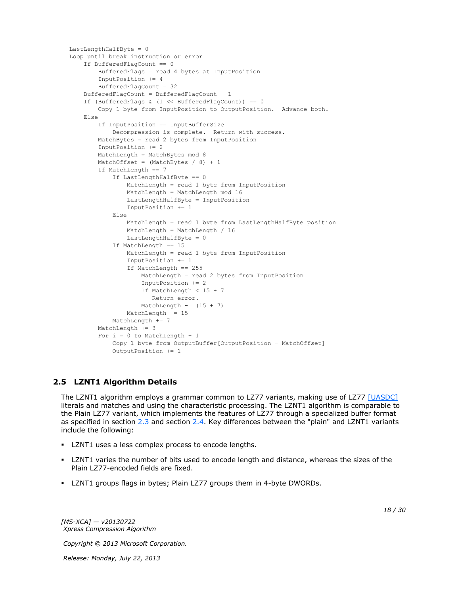```
LastLengthHalfByte = 0
Loop until break instruction or error
     If BufferedFlagCount == 0
        BufferedFlags = read 4 bytes at InputPosition
         InputPosition += 4
         BufferedFlagCount = 32
     BufferedFlagCount = BufferedFlagCount – 1
     If (BufferedFlags & (1 << BufferedFlagCount)) == 0
        Copy 1 byte from InputPosition to OutputPosition. Advance both.
     Else
         If InputPosition == InputBufferSize
             Decompression is complete. Return with success.
         MatchBytes = read 2 bytes from InputPosition
         InputPosition += 2
         MatchLength = MatchBytes mod 8
        MatchOffset = (MatchBytes / 8) + 1 If MatchLength == 7
             If LastLengthHalfByte == 0
                 MatchLength = read 1 byte from InputPosition
                MatchLength = MatchLength mod 16
                 LastLengthHalfByte = InputPosition
                InputPosition += 1
             Else
                MatchLength = read 1 byte from LastLengthHalfByte position
                 MatchLength = MatchLength / 16
                 LastLengthHalfByte = 0
             If MatchLength == 15
                 MatchLength = read 1 byte from InputPosition
                 InputPosition += 1
                 If MatchLength == 255
                    MatchLength = read 2 bytes from InputPosition
                    InputPosition += 2
                   If MatchLength < 15 + 7
                       Return error.
                    MatchLength == (15 + 7) MatchLength += 15
            MatchLength += 7
         MatchLength += 3
        For i = 0 to MatchLength - 1
             Copy 1 byte from OutputBuffer[OutputPosition – MatchOffset]
             OutputPosition += 1
```
# <span id="page-17-0"></span>**2.5 LZNT1 Algorithm Details**

<span id="page-17-1"></span>The LZNT1 algorithm employs a grammar common to LZ77 variants, making use of LZ77 [\[UASDC\]](http://go.microsoft.com/fwlink/?LinkId=90549) literals and matches and using the characteristic processing. The LZNT1 algorithm is comparable to the Plain LZ77 variant, which implements the features of LZ77 through a specialized buffer format as specified in section [2.3](#page-14-2) and section [2.4.](#page-16-5) Key differences between the "plain" and LZNT1 variants include the following:

- **LZNT1** uses a less complex process to encode lengths.
- LZNT1 varies the number of bits used to encode length and distance, whereas the sizes of the Plain LZ77-encoded fields are fixed.
- LZNT1 groups flags in bytes; Plain LZ77 groups them in 4-byte DWORDs.

*[MS-XCA] — v20130722 Xpress Compression Algorithm* 

*Copyright © 2013 Microsoft Corporation.*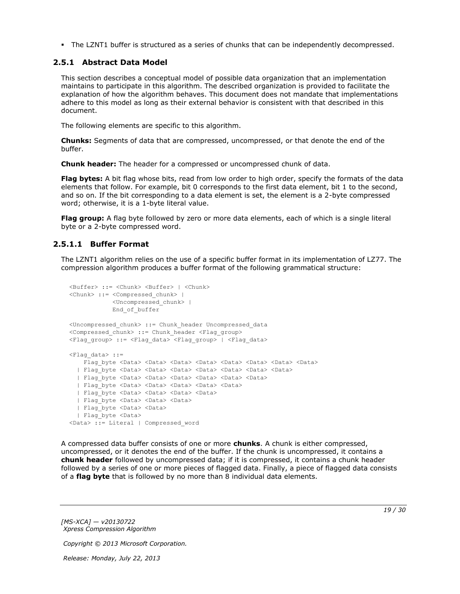<span id="page-18-2"></span>The LZNT1 buffer is structured as a series of chunks that can be independently decompressed.

### <span id="page-18-0"></span>**2.5.1 Abstract Data Model**

This section describes a conceptual model of possible data organization that an implementation maintains to participate in this algorithm. The described organization is provided to facilitate the explanation of how the algorithm behaves. This document does not mandate that implementations adhere to this model as long as their external behavior is consistent with that described in this document.

The following elements are specific to this algorithm.

**Chunks:** Segments of data that are compressed, uncompressed, or that denote the end of the buffer.

**Chunk header:** The header for a compressed or uncompressed chunk of data.

**Flag bytes:** A bit flag whose bits, read from low order to high order, specify the formats of the data elements that follow. For example, bit 0 corresponds to the first data element, bit 1 to the second, and so on. If the bit corresponding to a data element is set, the element is a 2-byte compressed word; otherwise, it is a 1-byte literal value.

**Flag group:** A flag byte followed by zero or more data elements, each of which is a single literal byte or a 2-byte compressed word.

## <span id="page-18-1"></span>**2.5.1.1 Buffer Format**

<span id="page-18-3"></span>The LZNT1 algorithm relies on the use of a specific buffer format in its implementation of LZ77. The compression algorithm produces a buffer format of the following grammatical structure:

```
<Buffer> ::= <Chunk> <Buffer> | <Chunk>
<Chunk> ::= <Compressed_chunk> | 
            <Uncompressed_chunk> |
             End_of_buffer
<Uncompressed_chunk> ::= Chunk_header Uncompressed_data
<Compressed_chunk> ::= Chunk_header <Flag_group>
<Flag_group> ::= <Flag_data> <Flag_group> | <Flag_data>
\langleFlag data> ::=
   Flag byte <Data> <Data> <Data> <Data> <Data> <Data> <Data> <Data> <Data> <Data> <Data> <Data> <Data
   | Flag_byte <Data> <Data> <Data> <Data> <Data> <Data> <Data>
  | Flag_byte <Data> <Data> <Data> <Data> <Data> <Data>
  | Flag_byte <Data> <Data> <Data> <Data> <Data>
 | Flag_byte <Data> <Data> <Data> <Data>
  | Flag_byte <Data> <Data> <Data> 
  | Flag_byte <Data> <Data>
   | Flag_byte <Data> 
<Data> ::= Literal | Compressed_word
```
A compressed data buffer consists of one or more **chunks**. A chunk is either compressed, uncompressed, or it denotes the end of the buffer. If the chunk is uncompressed, it contains a **chunk header** followed by uncompressed data; if it is compressed, it contains a chunk header followed by a series of one or more pieces of flagged data. Finally, a piece of flagged data consists of a **flag byte** that is followed by no more than 8 individual data elements.

*[MS-XCA] — v20130722 Xpress Compression Algorithm* 

*Copyright © 2013 Microsoft Corporation.*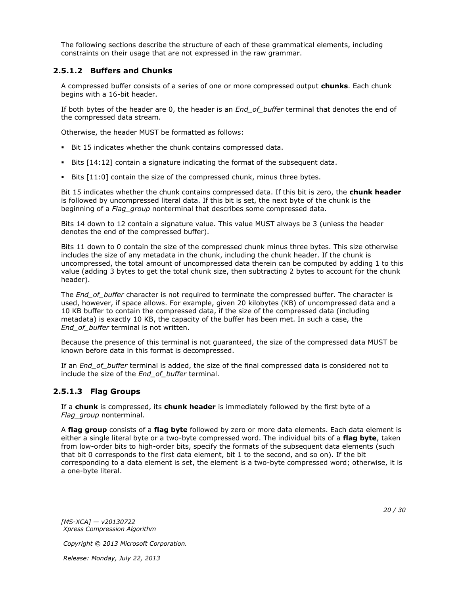The following sections describe the structure of each of these grammatical elements, including constraints on their usage that are not expressed in the raw grammar.

### <span id="page-19-0"></span>**2.5.1.2 Buffers and Chunks**

A compressed buffer consists of a series of one or more compressed output **chunks**. Each chunk begins with a 16-bit header.

If both bytes of the header are 0, the header is an *End\_of\_buffer* terminal that denotes the end of the compressed data stream.

Otherwise, the header MUST be formatted as follows:

- Bit 15 indicates whether the chunk contains compressed data.
- Bits [14:12] contain a signature indicating the format of the subsequent data.
- Bits [11:0] contain the size of the compressed chunk, minus three bytes.

Bit 15 indicates whether the chunk contains compressed data. If this bit is zero, the **chunk header** is followed by uncompressed literal data. If this bit is set, the next byte of the chunk is the beginning of a *Flag\_group* nonterminal that describes some compressed data.

Bits 14 down to 12 contain a signature value. This value MUST always be 3 (unless the header denotes the end of the compressed buffer).

Bits 11 down to 0 contain the size of the compressed chunk minus three bytes. This size otherwise includes the size of any metadata in the chunk, including the chunk header. If the chunk is uncompressed, the total amount of uncompressed data therein can be computed by adding 1 to this value (adding 3 bytes to get the total chunk size, then subtracting 2 bytes to account for the chunk header).

The *End* of buffer character is not required to terminate the compressed buffer. The character is used, however, if space allows. For example, given 20 kilobytes (KB) of uncompressed data and a 10 KB buffer to contain the compressed data, if the size of the compressed data (including metadata) is exactly 10 KB, the capacity of the buffer has been met. In such a case, the *End\_of\_buffer* terminal is not written.

Because the presence of this terminal is not guaranteed, the size of the compressed data MUST be known before data in this format is decompressed.

If an *End\_of\_buffer* terminal is added, the size of the final compressed data is considered not to include the size of the *End\_of\_buffer* terminal.

## <span id="page-19-1"></span>**2.5.1.3 Flag Groups**

If a **chunk** is compressed, its **chunk header** is immediately followed by the first byte of a *Flag\_group* nonterminal.

A **flag group** consists of a **flag byte** followed by zero or more data elements. Each data element is either a single literal byte or a two-byte compressed word. The individual bits of a **flag byte**, taken from low-order bits to high-order bits, specify the formats of the subsequent data elements (such that bit 0 corresponds to the first data element, bit 1 to the second, and so on). If the bit corresponding to a data element is set, the element is a two-byte compressed word; otherwise, it is a one-byte literal.

*[MS-XCA] — v20130722 Xpress Compression Algorithm* 

*Copyright © 2013 Microsoft Corporation.*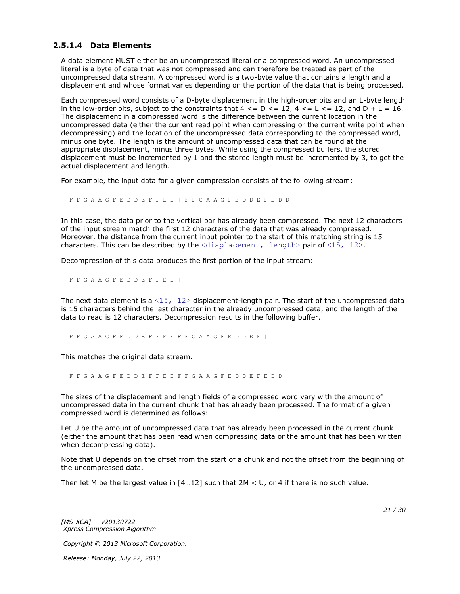## <span id="page-20-0"></span>**2.5.1.4 Data Elements**

A data element MUST either be an uncompressed literal or a compressed word. An uncompressed literal is a byte of data that was not compressed and can therefore be treated as part of the uncompressed data stream. A compressed word is a two-byte value that contains a length and a displacement and whose format varies depending on the portion of the data that is being processed.

Each compressed word consists of a D-byte displacement in the high-order bits and an L-byte length in the low-order bits, subject to the constraints that  $4 \leq D \leq 12$ ,  $4 \leq L \leq 12$ , and  $D + L = 16$ . The displacement in a compressed word is the difference between the current location in the uncompressed data (either the current read point when compressing or the current write point when decompressing) and the location of the uncompressed data corresponding to the compressed word, minus one byte. The length is the amount of uncompressed data that can be found at the appropriate displacement, minus three bytes. While using the compressed buffers, the stored displacement must be incremented by 1 and the stored length must be incremented by 3, to get the actual displacement and length.

For example, the input data for a given compression consists of the following stream:

F F G A A G F E D D E F F E E | F F G A A G F E D D E F E D D

In this case, the data prior to the vertical bar has already been compressed. The next 12 characters of the input stream match the first 12 characters of the data that was already compressed. Moreover, the distance from the current input pointer to the start of this matching string is 15 characters. This can be described by the  $\langle$ displacement, length> pair of  $\langle 15, 12 \rangle$ .

Decompression of this data produces the first portion of the input stream:

F F G A A G F E D D E F F E E |

The next data element is a  $\langle 15, 12 \rangle$  displacement-length pair. The start of the uncompressed data is 15 characters behind the last character in the already uncompressed data, and the length of the data to read is 12 characters. Decompression results in the following buffer.

F F G A A G F E D D E F F E E F F G A A G F E D D E F |

This matches the original data stream.

F F G A A G F E D D E F F E E F F G A A G F E D D E F E D D

The sizes of the displacement and length fields of a compressed word vary with the amount of uncompressed data in the current chunk that has already been processed. The format of a given compressed word is determined as follows:

Let U be the amount of uncompressed data that has already been processed in the current chunk (either the amount that has been read when compressing data or the amount that has been written when decompressing data).

Note that U depends on the offset from the start of a chunk and not the offset from the beginning of the uncompressed data.

Then let M be the largest value in  $[4...12]$  such that 2M < U, or 4 if there is no such value.

*[MS-XCA] — v20130722 Xpress Compression Algorithm* 

*Copyright © 2013 Microsoft Corporation.* 

*Release: Monday, July 22, 2013* 

*21 / 30*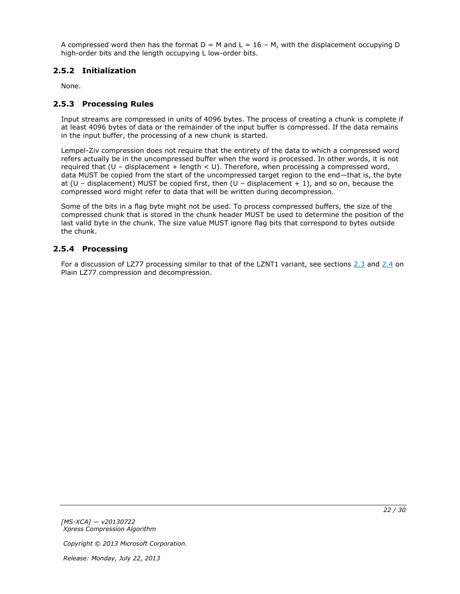A compressed word then has the format  $D = M$  and  $L = 16 - M$ , with the displacement occupying D high-order bits and the length occupying L low-order bits.

## <span id="page-21-0"></span>**2.5.2 Initialization**

<span id="page-21-5"></span><span id="page-21-3"></span>None.

### <span id="page-21-1"></span>**2.5.3 Processing Rules**

Input streams are compressed in units of 4096 bytes. The process of creating a chunk is complete if at least 4096 bytes of data or the remainder of the input buffer is compressed. If the data remains in the input buffer, the processing of a new chunk is started.

Lempel-Ziv compression does not require that the entirety of the data to which a compressed word refers actually be in the uncompressed buffer when the word is processed. In other words, it is not required that (U – displacement + length < U). Therefore, when processing a compressed word, data MUST be copied from the start of the uncompressed target region to the end—that is, the byte at (U – displacement) MUST be copied first, then (U – displacement  $+1$ ), and so on, because the compressed word might refer to data that will be written during decompression.

Some of the bits in a flag byte might not be used. To process compressed buffers, the size of the compressed chunk that is stored in the chunk header MUST be used to determine the position of the last valid byte in the chunk. The size value MUST ignore flag bits that correspond to bytes outside the chunk.

### <span id="page-21-2"></span>**2.5.4 Processing**

<span id="page-21-4"></span>For a discussion of LZ77 processing similar to that of the LZNT1 variant, see sections [2.3](#page-14-2) and [2.4](#page-16-5) on Plain LZ77 compression and decompression.

*[MS-XCA] — v20130722 Xpress Compression Algorithm* 

*Copyright © 2013 Microsoft Corporation.*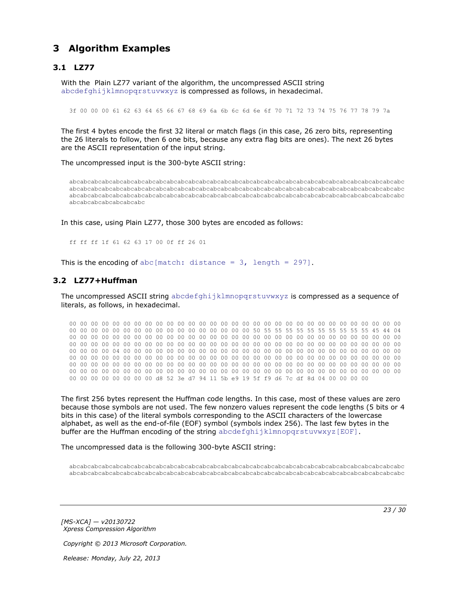# <span id="page-22-0"></span>**3 Algorithm Examples**

## <span id="page-22-1"></span>**3.1 LZ77**

<span id="page-22-3"></span>With the Plain LZ77 variant of the algorithm, the uncompressed ASCII string abcdefghijklmnopqrstuvwxyz is compressed as follows, in hexadecimal.

3f 00 00 00 61 62 63 64 65 66 67 68 69 6a 6b 6c 6d 6e 6f 70 71 72 73 74 75 76 77 78 79 7a

The first 4 bytes encode the first 32 literal or match flags (in this case, 26 zero bits, representing the 26 literals to follow, then 6 one bits, because any extra flag bits are ones). The next 26 bytes are the ASCII representation of the input string.

The uncompressed input is the 300-byte ASCII string:

abcabcabcabcabcabcabcabcabcabcabcabcabcabcabcabcabcabcabcabcabcabcabcabcabcabcabcabcabcabcabc abcabcabcabcabcabcabcabcabcabcabcabcabcabcabcabcabcabcabcabcabcabcabcabcabcabcabcabcabcabcabc abcabcabcabcabcabcabcabcabcabcabcabcabcabcabcabcabcabcabcabcabcabcabcabcabcabcabcabcabcabcabc abcabcabcabcabcabcabc

In this case, using Plain LZ77, those 300 bytes are encoded as follows:

<span id="page-22-4"></span>ff ff ff 1f 61 62 63 17 00 0f ff 26 01

This is the encoding of abc[match: distance =  $3$ , length = 297].

### <span id="page-22-2"></span>**3.2 LZ77+Huffman**

The uncompressed ASCII string abcdefghijklmnopgrstuvwxyz is compressed as a sequence of literals, as follows, in hexadecimal.

00 00 00 00 00 00 00 00 00 00 00 00 00 00 00 00 00 00 00 00 00 00 00 00 00 00 00 00 00 00 00 00 00 00 00 00 00 00 00 00 00 00 00 00 00 00 00 00 50 55 55 55 55 55 55 55 55 55 55 45 44 04 00 00 00 00 00 00 00 00 00 00 00 00 00 00 00 00 00 00 00 00 00 00 00 00 00 00 00 00 00 00 00 00 00 00 00 00 00 00 00 00 00 00 00 00 00 00 00 00 00 00 00 00 00 00 00 00 00 00 00 00 00 00 00 00 00 00 04 00 00 00 00 00 00 00 00 00 00 00 00 00 00 00 00 00 00 00 00 00 00 00 00 00 00 00 00 00 00 00 00 00 00 00 00 00 00 00 00 00 00 00 00 00 00 00 00 00 00 00 00 00 00 00 00 00 00 00 00 00 00 00 00 00 00 00 00 00 00 00 00 00 00 00 00 00 00 00 00 00 00 00 00 00 00 00 00 00 00 00 00 00 00 00 00 00 00 00 00 00 00 00 00 00 00 00 00 00 00 00 00 00 00 00 00 00 00 00 00 00 00 00 00 00 00 00 d8 52 3e d7 94 11 5b e9 19 5f f9 d6 7c df 8d 04 00 00 00 00

The first 256 bytes represent the Huffman code lengths. In this case, most of these values are zero because those symbols are not used. The few nonzero values represent the code lengths (5 bits or 4 bits in this case) of the literal symbols corresponding to the ASCII characters of the lowercase alphabet, as well as the end-of-file (EOF) symbol (symbols index 256). The last few bytes in the buffer are the Huffman encoding of the string abcdefghijklmnopqrstuvwxyz[EOF].

The uncompressed data is the following 300-byte ASCII string:

abcabcabcabcabcabcabcabcabcabcabcabcabcabcabcabcabcabcabcabcabcabcabcabcabcabcabcabcabcabcabc abcabcabcabcabcabcabcabcabcabcabcabcabcabcabcabcabcabcabcabcabcabcabcabcabcabcabcabcabcabcabc

*[MS-XCA] — v20130722 Xpress Compression Algorithm*  *23 / 30*

*Copyright © 2013 Microsoft Corporation.*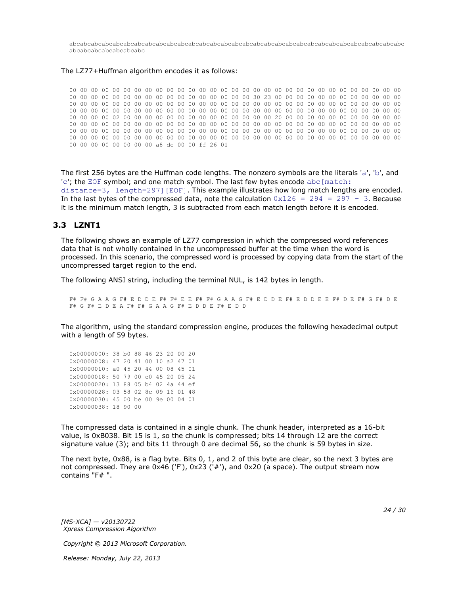abcabcabcabcabcabcabcabcabcabcabcabcabcabcabcabcabcabcabcabcabcabcabcabcabcabcabcabcabcabcabc abcabcabcabcabcabcabc

#### The LZ77+Huffman algorithm encodes it as follows:

00 00 00 00 00 00 00 00 00 00 00 00 00 00 00 00 00 00 00 00 00 00 00 00 00 00 00 00 00 00 00 00 00 00 00 00 00 00 00 00 00 00 00 00 00 00 00 00 30 23 00 00 00 00 00 00 00 00 00 00 00 00 00 00 00 00 00 00 00 00 00 00 00 00 00 00 00 00 00 00 00 00 00 00 00 00 00 00 00 00 00 00 00 00 00 00 00 00 00 00 00 00 00 00 00 00 00 00 00 00 00 00 00 00 00 00 00 00 00 00 00 00 00 00 00 00 00 00 02 00 00 00 00 00 00 00 00 00 00 00 00 00 00 20 00 00 00 00 00 00 00 00 00 00 00 00 00 00 00 00 00 00 00 00 00 00 00 00 00 00 00 00 00 00 00 00 00 00 00 00 00 00 00 00 00 00 00 00 00 00 00 00 00 00 00 00 00 00 00 00 00 00 00 00 00 00 00 00 00 00 00 00 00 00 00 00 00 00 00 00 00 00 00 00 00 00 00 00 00 00 00 00 00 00 00 00 00 00 00 00 00 00 00 00 00 00 00 00 00 00 00 00 00 00 00 00 a8 dc 00 00 ff 26 01

The first 256 bytes are the Huffman code lengths. The nonzero symbols are the literals 'a', 'b', and 'c'; the EOF symbol; and one match symbol. The last few bytes encode abc [match: distance=3, length=297][EOF]. This example illustrates how long match lengths are encoded. In the last bytes of the compressed data, note the calculation  $0x126 = 294 = 297 - 3$ . Because it is the minimum match length, 3 is subtracted from each match length before it is encoded.

#### <span id="page-23-0"></span>**3.3 LZNT1**

<span id="page-23-1"></span>The following shows an example of LZ77 compression in which the compressed word references data that is not wholly contained in the uncompressed buffer at the time when the word is processed. In this scenario, the compressed word is processed by copying data from the start of the uncompressed target region to the end.

The following ANSI string, including the terminal NUL, is 142 bytes in length.

F# F# G A A G F# E D D E F# F# E E F# F# G A A G F# E D D E F# E D D E E F# D E F# G F# D E F# G F# E D E A F# F# G A A G F# E D D E F# E D D

The algorithm, using the standard compression engine, produces the following hexadecimal output with a length of 59 bytes.

0x00000000: 38 b0 88 46 23 20 00 20 0x00000008: 47 20 41 00 10 a2 47 01 0x00000010: a0 45 20 44 00 08 45 01 0x00000018: 50 79 00 c0 45 20 05 24 0x00000020: 13 88 05 b4 02 4a 44 ef 0x00000028: 03 58 02 8c 09 16 01 48 0x00000030: 45 00 be 00 9e 00 04 01 0x00000038: 18 90 00

The compressed data is contained in a single chunk. The chunk header, interpreted as a 16-bit value, is 0xB038. Bit 15 is 1, so the chunk is compressed; bits 14 through 12 are the correct signature value (3); and bits 11 through 0 are decimal 56, so the chunk is 59 bytes in size.

The next byte, 0x88, is a flag byte. Bits 0, 1, and 2 of this byte are clear, so the next 3 bytes are not compressed. They are 0x46 ('F'), 0x23 ('#'), and 0x20 (a space). The output stream now contains "F# ".

*[MS-XCA] — v20130722 Xpress Compression Algorithm* 

*Copyright © 2013 Microsoft Corporation.*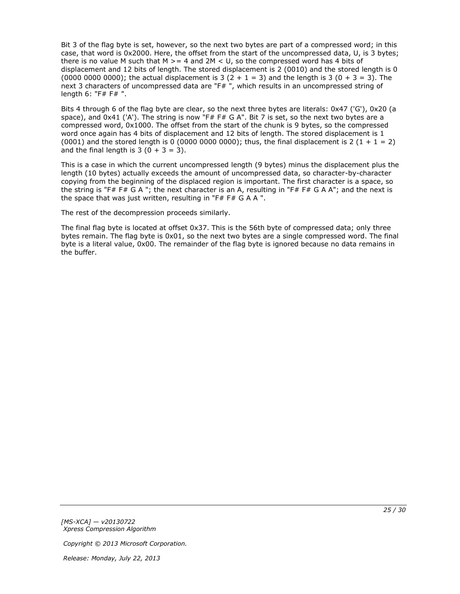Bit 3 of the flag byte is set, however, so the next two bytes are part of a compressed word; in this case, that word is 0x2000. Here, the offset from the start of the uncompressed data, U, is 3 bytes; there is no value M such that M  $>= 4$  and 2M  $<$  U, so the compressed word has 4 bits of displacement and 12 bits of length. The stored displacement is 2 (0010) and the stored length is 0 (0000 0000 0000); the actual displacement is 3  $(2 + 1 = 3)$  and the length is 3  $(0 + 3 = 3)$ . The next 3 characters of uncompressed data are "F#", which results in an uncompressed string of length 6: "F# F# ".

Bits 4 through 6 of the flag byte are clear, so the next three bytes are literals: 0x47 ('G'), 0x20 (a space), and  $0x41$  ('A'). The string is now "F# F# G A". Bit 7 is set, so the next two bytes are a compressed word, 0x1000. The offset from the start of the chunk is 9 bytes, so the compressed word once again has 4 bits of displacement and 12 bits of length. The stored displacement is 1 (0001) and the stored length is 0 (0000 0000 0000); thus, the final displacement is 2 (1 + 1 = 2) and the final length is  $3(0 + 3 = 3)$ .

This is a case in which the current uncompressed length (9 bytes) minus the displacement plus the length (10 bytes) actually exceeds the amount of uncompressed data, so character-by-character copying from the beginning of the displaced region is important. The first character is a space, so the string is "F# F# G A "; the next character is an A, resulting in "F# F# G A A"; and the next is the space that was just written, resulting in "F# F# G A A ".

The rest of the decompression proceeds similarly.

The final flag byte is located at offset 0x37. This is the 56th byte of compressed data; only three bytes remain. The flag byte is 0x01, so the next two bytes are a single compressed word. The final byte is a literal value, 0x00. The remainder of the flag byte is ignored because no data remains in the buffer.

*[MS-XCA] — v20130722 Xpress Compression Algorithm* 

*Copyright © 2013 Microsoft Corporation.*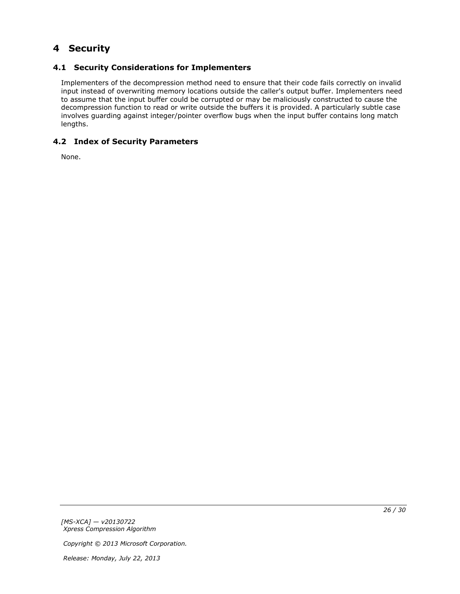# <span id="page-25-0"></span>**4 Security**

# <span id="page-25-1"></span>**4.1 Security Considerations for Implementers**

<span id="page-25-3"></span>Implementers of the decompression method need to ensure that their code fails correctly on invalid input instead of overwriting memory locations outside the caller's output buffer. Implementers need to assume that the input buffer could be corrupted or may be maliciously constructed to cause the decompression function to read or write outside the buffers it is provided. A particularly subtle case involves guarding against integer/pointer overflow bugs when the input buffer contains long match lengths.

# <span id="page-25-2"></span>**4.2 Index of Security Parameters**

<span id="page-25-4"></span>None.

*[MS-XCA] — v20130722 Xpress Compression Algorithm* 

*Copyright © 2013 Microsoft Corporation.*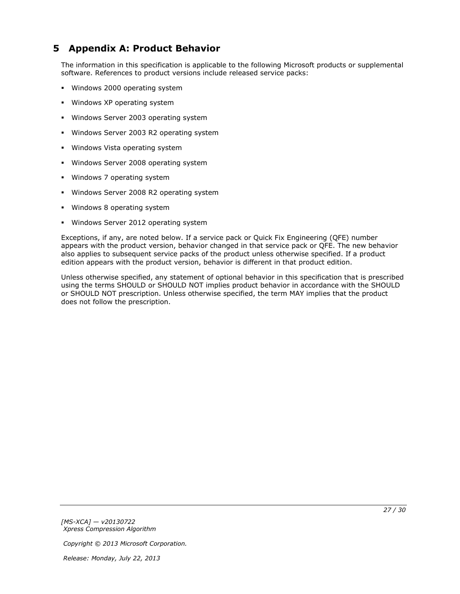# <span id="page-26-0"></span>**5 Appendix A: Product Behavior**

<span id="page-26-1"></span>The information in this specification is applicable to the following Microsoft products or supplemental software. References to product versions include released service packs:

- **Windows 2000 operating system**
- **Windows XP operating system**
- **Windows Server 2003 operating system**
- **Windows Server 2003 R2 operating system**
- **Windows Vista operating system**
- **Windows Server 2008 operating system**
- Windows 7 operating system
- Windows Server 2008 R2 operating system
- Windows 8 operating system
- **Windows Server 2012 operating system**

Exceptions, if any, are noted below. If a service pack or Quick Fix Engineering (QFE) number appears with the product version, behavior changed in that service pack or QFE. The new behavior also applies to subsequent service packs of the product unless otherwise specified. If a product edition appears with the product version, behavior is different in that product edition.

Unless otherwise specified, any statement of optional behavior in this specification that is prescribed using the terms SHOULD or SHOULD NOT implies product behavior in accordance with the SHOULD or SHOULD NOT prescription. Unless otherwise specified, the term MAY implies that the product does not follow the prescription.

*[MS-XCA] — v20130722 Xpress Compression Algorithm* 

*Copyright © 2013 Microsoft Corporation.*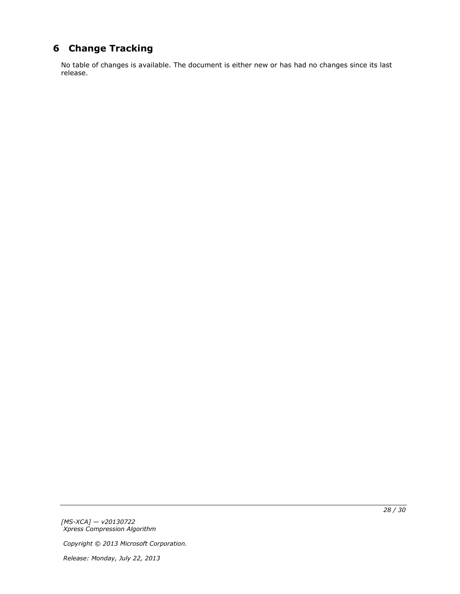# <span id="page-27-0"></span>**6 Change Tracking**

<span id="page-27-1"></span>No table of changes is available. The document is either new or has had no changes since its last release.

*[MS-XCA] — v20130722 Xpress Compression Algorithm* 

*Copyright © 2013 Microsoft Corporation.*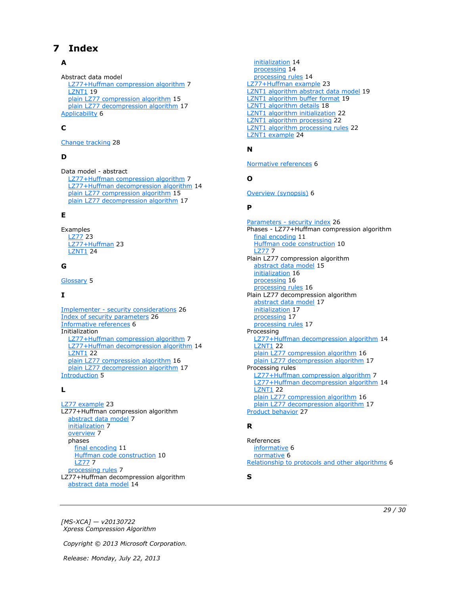# <span id="page-28-0"></span>**7 Index**

## **A**

Abstract data model [LZ77+Huffman compression algorithm](#page-6-8) 7 **[LZNT1](#page-18-2) 19** [plain LZ77 compression algorithm](#page-14-3) 15 [plain LZ77 decompression algorithm](#page-16-6) 17 [Applicability](#page-5-6) 6

## **C**

[Change tracking](#page-27-1) 28

## **D**

Data model - abstract [LZ77+Huffman compression algorithm](#page-6-8) 7 [LZ77+Huffman decompression algorithm](#page-13-5) 14 [plain LZ77 compression algorithm](#page-14-3) 15 [plain LZ77 decompression algorithm](#page-16-6) 17

### **E**

Examples [LZ77](#page-22-3) 23 [LZ77+Huffman](#page-22-4) 23 [LZNT1](#page-23-1) 24

## **G**

[Glossary](#page-4-9) 5

### **I**

Implementer - [security considerations](#page-25-3) 26 [Index of security parameters](#page-25-4) 26 [Informative references](#page-5-7) 6 Initialization [LZ77+Huffman compression algorithm](#page-6-9) 7 [LZ77+Huffman decompression algorithm](#page-13-6) 14 **[LZNT1](#page-21-3) 22** [plain LZ77 compression algorithm](#page-15-3) 16 [plain LZ77 decompression algorithm](#page-16-7) 17 [Introduction](#page-4-10) 5

### **L**

[LZ77 example](#page-22-3) 23 LZ77+Huffman compression algorithm [abstract data model](#page-6-8) 7 [initialization](#page-6-9) 7 [overview](#page-6-10) 7 phases [final encoding](#page-10-1) 11 [Huffman code construction](#page-9-1) 10 [LZ77](#page-6-7) 7 [processing rules](#page-6-11) 7 LZ77+Huffman decompression algorithm [abstract data model](#page-13-5) 14

[initialization](#page-13-6) 14 [processing](#page-13-7) 14 [processing rules](#page-13-8) 14 [LZ77+Huffman example](#page-22-4) 23 [LZNT1 algorithm abstract data model](#page-18-2) 19 [LZNT1 algorithm buffer format](#page-18-3) 19 [LZNT1 algorithm details](#page-17-1) 18 [LZNT1 algorithm initialization](#page-21-3) 22 [LZNT1 algorithm processing](#page-21-4) 22 [LZNT1 algorithm processing rules](#page-21-5) 22 [LZNT1 example](#page-23-1) 24

# **N**

[Normative references](#page-5-8) 6

### **O**

[Overview \(synopsis\)](#page-5-9) 6

#### **P**

Parameters - [security index](#page-25-4) 26 Phases - LZ77+Huffman compression algorithm [final encoding](#page-10-1) 11 [Huffman code construction](#page-9-1) 10 [LZ77](#page-6-7) 7 Plain LZ77 compression algorithm [abstract data model](#page-14-3) 15 [initialization](#page-15-3) 16 [processing](#page-15-4) 16 [processing rules](#page-15-5) 16 Plain LZ77 decompression algorithm [abstract data model](#page-16-6) 17 [initialization](#page-16-7) 17 [processing](#page-16-8) 17 [processing rules](#page-16-9) 17 Processing [LZ77+Huffman decompression algorithm](#page-13-7) 14 **[LZNT1](#page-21-4) 22** [plain LZ77 compression algorithm](#page-15-4) 16 [plain LZ77 decompression algorithm](#page-16-8) 17 Processing rules [LZ77+Huffman compression algorithm](#page-6-11) 7 [LZ77+Huffman decompression algorithm](#page-13-8) 14 **[LZNT1](#page-21-5) 22** [plain LZ77 compression algorithm](#page-15-5) 16 [plain LZ77 decompression algorithm](#page-16-9) 17 [Product behavior](#page-26-1) 27

### **R**

References [informative](#page-5-7) 6 [normative](#page-5-8) 6 [Relationship to protocols and other algorithms](#page-5-10) 6

**S**

*[MS-XCA] — v20130722 Xpress Compression Algorithm* 

*Copyright © 2013 Microsoft Corporation.*